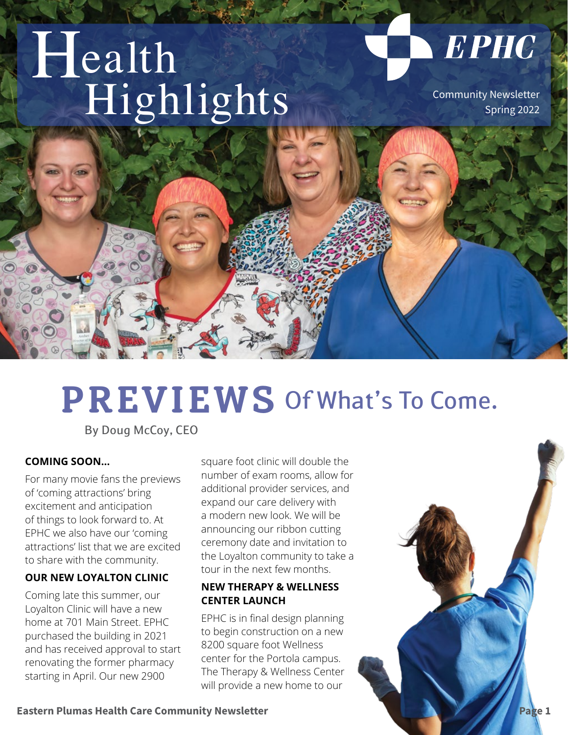# Health Highlights Community Newsletter

Spring 2022

**EPHC** 

## *Let's start with expectations. We know being more fit doesn't happen overnight. But consistent exercise over*  **PREVIEWS** Of What's To Come.

**REGION DE L'AREGION DE L'AREGION DE L'AREGION DE L'AREGION DE L'AREGION DE L'AREGION DE L'AREGION DE L'AREGION** 

By Doug McCoy, CEO

#### **COMING SOON…**

For many movie fans the previews of 'coming attractions' bring excitement and anticipation of things to look forward to. At EPHC we also have our 'coming attractions' list that we are excited to share with the community.

 $\mathbf{M}$  **by**  $\mathbf{M}$   $\mathbf{M}$  **by**  $\mathbf{M}$ 

#### **OUR NEW LOYALTON CLINIC**

Coming late this summer, our Loyalton Clinic will have a new home at 701 Main Street. EPHC purchased the building in 2021 and has received approval to start renovating the former pharmacy starting in April. Our new 2900

square foot clinic will double the number of exam rooms, allow for additional provider services, and expand our care delivery with a modern new look. We will be announcing our ribbon cutting ceremony date and invitation to the Loyalton community to take a tour in the next few months.

#### **NEW THERAPY & WELLNESS CENTER LAUNCH**

EPHC is in final design planning to begin construction on a new 8200 square foot Wellness center for the Portola campus. The Therapy & Wellness Center will provide a new home to our

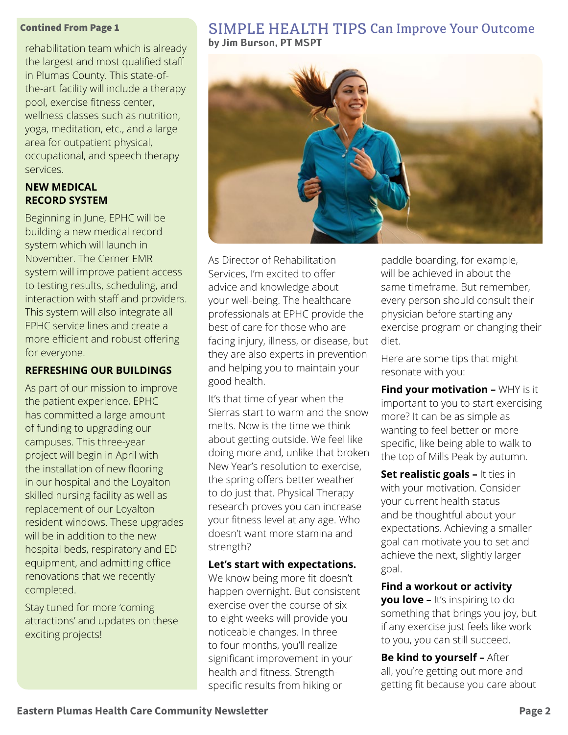#### Contined From Page 1

rehabilitation team which is already the largest and most qualified staff in Plumas County. This state-ofthe-art facility will include a therapy pool, exercise fitness center, wellness classes such as nutrition, yoga, meditation, etc., and a large area for outpatient physical, occupational, and speech therapy services.

#### **NEW MEDICAL RECORD SYSTEM**

Beginning in June, EPHC will be building a new medical record system which will launch in November. The Cerner EMR system will improve patient access to testing results, scheduling, and interaction with staff and providers. This system will also integrate all EPHC service lines and create a more efficient and robust offering for everyone.

#### **REFRESHING OUR BUILDINGS**

As part of our mission to improve the patient experience, EPHC has committed a large amount of funding to upgrading our campuses. This three-year project will begin in April with the installation of new flooring in our hospital and the Loyalton skilled nursing facility as well as replacement of our Loyalton resident windows. These upgrades will be in addition to the new hospital beds, respiratory and ED equipment, and admitting office renovations that we recently completed.

Stay tuned for more 'coming attractions' and updates on these exciting projects!

#### SIMPLE HEALTH TIPS Can Improve Your Outcome **by Jim Burson, PT MSPT**



As Director of Rehabilitation Services, I'm excited to offer advice and knowledge about your well-being. The healthcare professionals at EPHC provide the best of care for those who are facing injury, illness, or disease, but they are also experts in prevention and helping you to maintain your good health.

It's that time of year when the Sierras start to warm and the snow melts. Now is the time we think about getting outside. We feel like doing more and, unlike that broken New Year's resolution to exercise, the spring offers better weather to do just that. Physical Therapy research proves you can increase your fitness level at any age. Who doesn't want more stamina and strength?

**Let's start with expectations.** 

We know being more fit doesn't happen overnight. But consistent exercise over the course of six to eight weeks will provide you noticeable changes. In three to four months, you'll realize significant improvement in your health and fitness. Strengthspecific results from hiking or

paddle boarding, for example, will be achieved in about the same timeframe. But remember, every person should consult their physician before starting any exercise program or changing their diet.

Here are some tips that might resonate with you:

**Find your motivation –** WHY is it important to you to start exercising more? It can be as simple as wanting to feel better or more specific, like being able to walk to the top of Mills Peak by autumn.

**Set realistic goals - It ties in** with your motivation. Consider your current health status and be thoughtful about your expectations. Achieving a smaller goal can motivate you to set and achieve the next, slightly larger goal.

**Find a workout or activity you love –** It's inspiring to do something that brings you joy, but if any exercise just feels like work to you, you can still succeed.

**Be kind to yourself –** After all, you're getting out more and getting fit because you care about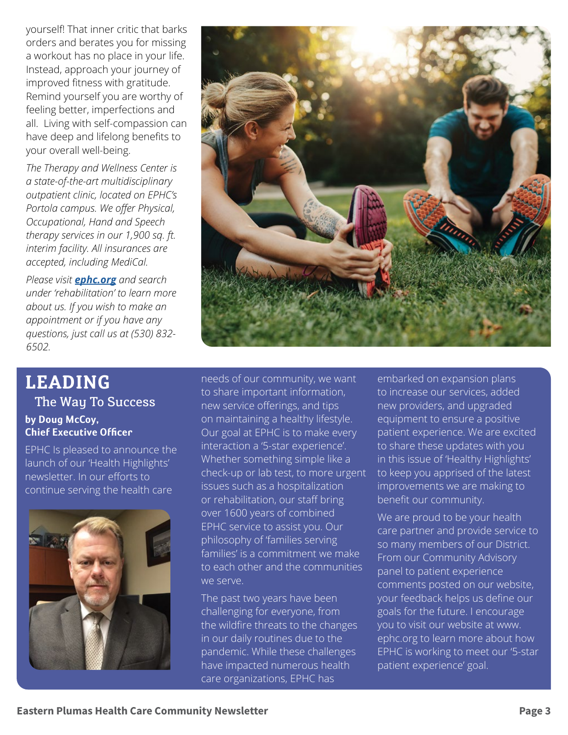yourself! That inner critic that barks orders and berates you for missing a workout has no place in your life. Instead, approach your journey of improved fitness with gratitude. Remind yourself you are worthy of feeling better, imperfections and all. Living with self-compassion can have deep and lifelong benefits to your overall well-being.

*The Therapy and Wellness Center is a state-of-the-art multidisciplinary outpatient clinic, located on EPHC's Portola campus. We offer Physical, Occupational, Hand and Speech therapy services in our 1,900 sq. ft. interim facility. All insurances are accepted, including MediCal.* 

*Please visit ephc.org and search under 'rehabilitation' to learn more about us. If you wish to make an appointment or if you have any questions, just call us at (530) 832- 6502.*

### **LEADING**  The Way To Success **by Doug McCoy, Chief Executive Officer**

EPHC Is pleased to announce the launch of our 'Health Highlights' newsletter. In our efforts to continue serving the health care



needs of our community, we want to share important information, new service offerings, and tips on maintaining a healthy lifestyle. Our goal at EPHC is to make every interaction a '5-star experience'. Whether something simple like a check-up or lab test, to more urgent issues such as a hospitalization or rehabilitation, our staff bring over 1600 years of combined EPHC service to assist you. Our philosophy of 'families serving families' is a commitment we make to each other and the communities we serve.

The past two years have been challenging for everyone, from the wildfire threats to the changes in our daily routines due to the pandemic. While these challenges have impacted numerous health care organizations, EPHC has

embarked on expansion plans to increase our services, added new providers, and upgraded equipment to ensure a positive patient experience. We are excited to share these updates with you in this issue of 'Healthy Highlights' to keep you apprised of the latest improvements we are making to benefit our community.

We are proud to be your health care partner and provide service to so many members of our District. From our Community Advisory panel to patient experience comments posted on our website, your feedback helps us define our goals for the future. I encourage you to visit our website at www. ephc.org to learn more about how EPHC is working to meet our '5-star patient experience' goal.